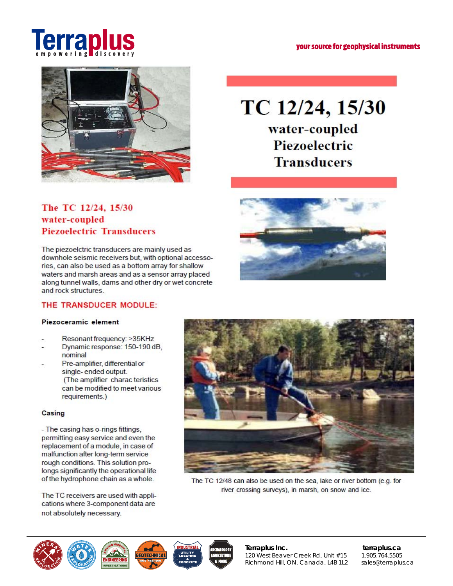



# **The TC 12/24, 15/30 water-coupled Piezoelectric Transducers**

The piezoelctric transducers **are** mainly used as downhole seismic receivers but, **with** optional accessories, can also be used as a bottom **array** for shallow waters and marsh areas and as a sensor array placed along tunnel walls, **dams** and other dry **or** wet concrete and rock structures.

### **THE TRANSDUCER MODULE:**

#### **Piezoceramic element**

- **Resonant frequency:** >35KHz
- **Dynamic response: 150-190 dB, nominal**
- **Pre-amplifier, differential or**  single- ended output. **(The amplifier charac teristics can be modified to meet various requirements-)**

#### **Casing**

**- The casing has o-rings fittings, permitting easy service and even the replacement of a module, in case of malfunction after long-term service rough conditions- This solution prolongs significantly the operational life of the hydrophone chain as a whole-**

The TC receivers are used with applications where 3-component data are not absolutely necessary-



**Piezoelectric Transducers** 





The TC 12/48 can also **be used on the sea, lake or river** bottom (e.g- for river crossing **surveys), in marsh, on snow and** ice.



**Terraplus Inc. terraplus.ca**  120 West Beaver Creek Rd, Unit #15 1.905.764.5505 Richmond Hill, ON, Canada, L4B 1L2 sales@terraplus.ca